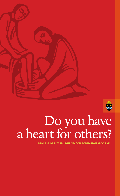



# Do you have

**DIOCESE OF PITTSBURGH DEACON FORMATION PROGRAM**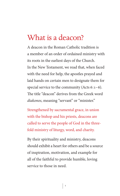#### What is a deacon?

A deacon in the Roman Catholic tradition is a member of an order of ordained ministry with its roots in the earliest days of the Church. In the New Testament, we read that, when faced with the need for help, the apostles prayed and laid hands on certain men to designate them for special service to the community (Acts 6:1-6). The title "deacon" derives from the Greek word *diakonos*, meaning "servant" or "minister."

Strengthened by sacramental grace, in union with the bishop and his priests, deacons are called to serve the people of God in the threefold ministry of liturgy, word, and charity.

By their spirituality and ministry, deacons should exhibit a heart for others and be a source of inspiration, motivation, and example for all of the faithful to provide humble, loving service to those in need.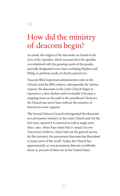

## How did the ministry of deacons begin?

As noted, the origins of the diaconate are found in the Acts of the Apostles, which recounts how the apostles, overwhelmed with the growing needs of the people, specially designated seven men, including Stephen and Philip, to perform works of charity and service.

Deacons filled important administrative roles in the Church until the fifth century; subsequently, for various reasons, the diaconate in the Latin Church began to experience a slow decline until eventually it became a stepping stone on the path to the priesthood. However, the Church has never been without the ministry of deacons in some capacity.

The Second Vatican Council reinvigorated the diaconate as a permanent ministry in the Latin Church and, for the first time, opened it to married as well as single men. Since 1967, when Pope Saint Paul VI issued *Sacrum Diaconatus Ordinem*, which laid out the general norms for this ministry, the permanent diaconate has flourished in many parts of the world. Today, the Church has approximately 47,000 permanent deacons worldwide, about 40 percent of them are in the United States.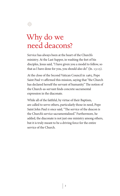

#### Why do we need deacons?

Service has always been at the heart of the Church's ministry. At the Last Supper, in washing the feet of his disciples, Jesus said, "I have given you a model to follow, so that as I have done for you, you should also do" (Jn. 13:15).

At the close of the Second Vatican Council in 1965, Pope Saint Paul VI affirmed this mission, saying that "the Church has declared herself the servant of humanity." The notion of the Church-as-servant finds concrete sacramental expression in the diaconate.

While all of the faithful, by virtue of their Baptism, are called to serve others, particularly those in need, Pope Saint John Paul II once said, "The service of the deacon is the Church's service sacramentalized." Furthermore, he added, the diaconate is not just one ministry among others, but it is truly meant to be a driving force for the entire service of the Church.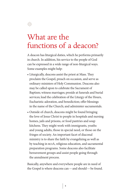

### What are the functions of a deacon?

A deacon has liturgical duties, which he performs primarily in church. In addition, his service to the people of God can be expressed in a wide range of non-liturgical ways. Some examples might help:

- Liturgically, deacons assist the priest at Mass. They proclaim the Gospel, preach on occasion, and serve as ordinary ministers of Holy Communion. Deacons also may be called upon to celebrate the Sacrament of Baptism; witness marriages; preside at funerals and burial services; lead the celebration of the Liturgy of the Hours, Eucharistic adoration, and benediction; offer blessings in the name of the Church; and administer sacramentals.
- Outside of church, deacons might be found bringing the love of Jesus Christ to people in hospitals and nursing homes, jails and prisons, or food pantries and soup kitchens. They might work with immigrants, youths and young adults, those in special need, or those on the fringes of society. An important facet of diaconal ministry is to share the faith by evangelizing as well as by teaching in RCIA, religious education, and sacramental preparation programs. Some deacons also facilitate bereavement groups and assist people going through the annulment process.

Basically, anywhere and everywhere people are in need of the Gospel is where deacons can—and should—be found.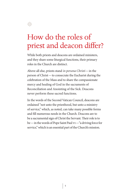

## How do the roles of priest and deacon differ?

While both priests and deacons are ordained ministers, and they share some liturgical functions, their primary roles in the Church are distinct.

Above all else, priests stand *in persona Christi*—in the person of Christ—to consecrate the Eucharist during the celebration of the Mass and to share the compassionate mercy and healing of God in the sacraments of Reconciliation and Anointing of the Sick. Deacons never perform these sacred functions.

In the words of the Second Vatican Council, deacons are ordained "not unto the priesthood, but unto a ministry of service," which, as noted, can take many possible forms and fill numerous needs in the Church. Deacons are to be a sacramental sign of Christ the Servant. Their role is to be—in the words of Pope Saint Paul VI—"a driving force for service," which is an essential part of the Church's mission.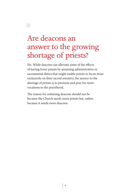

## Are deacons an answer to the growing shortage of priests?

No. While deacons can alleviate some of the effects of having fewer priests by assuming administrative or sacramental duties that might enable priests to focus more exclusively on their sacred ministry, the answer to the shortage of priests is to promote and pray for more vocations to the priesthood.

The reason for ordaining deacons should not be because the Church needs more priests but, rather, because it needs more deacons.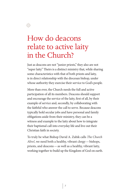### How do deacons relate to active laity in the Church?

4월

Just as deacons are not "junior priests," they also are not "super laity." Theirs is a distinct ministry that, while sharing some characteristics with that of both priests and laity, is in direct relationship with the diocesan bishop, under whose authority they exercise their service to God's people.

More than ever, the Church needs the full and active participation of all its members. Deacons should support and encourage the service of the laity, first of all, by their example of service and, secondly, by collaborating with the faithful who answer the call to serve. Because deacons typically hold secular jobs and have personal and family obligations aside from their ministry, they can be a witness and example to the laity about how to integrate their baptismal call into everyday life and live out their Christian faith in society.

To truly be what Bishop David A. Zubik calls *The Church Alive!*, we need both a healthy, vibrant clergy—bishops, priests, and deacons—as well as a healthy, vibrant laity, working together to build up the Kingdom of God on earth.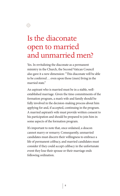

선<mark>정</mark>

Yes. In revitalizing the diaconate as a permanent ministry in the Church, the Second Vatican Council also gave it a new dimension: "This diaconate will be able to be conferred ... even upon those (men) living in the married state."

An aspirant who is married must be in a stable, wellestablished marriage. Given the time commitments of the formation program, a man's wife and family should be fully involved in the decision-making process about him applying for and, if accepted, continuing in the program. A married aspirant's wife must provide written consent to his participation and should be prepared to join him in some aspects of the formation program.

It's important to note that, once ordained, a deacon cannot marry or remarry. Consequently, unmarried candidates must discern their willingness to embrace a life of permanent celibacy, and married candidates must consider if they could accept celibacy in the unfortunate event they lose their spouse or their marriage ends following ordination.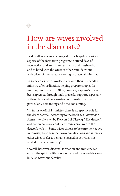

#### How are wives involved in the diaconate?

First of all, wives are encouraged to participate in various aspects of the formation program, to attend days of recollection and annual retreats with their husbands, and to bond with the wives of other candidates and with wives of men already serving in diaconal ministry.

In some cases, wives work closely with their husbands in ministry after ordination, helping prepare couples for marriage, for instance. Often, however, a spouse's role is best expressed through total, prayerful support, especially at those times when formation or ministry becomes particularly demanding and time-consuming.

"In terms of official ministry, there is no specific role for the deacon's wife," according to the book *101Questions & Answers on Deacons* by Deacon Bill Ditewig. "The deacon's ordination does not confer any ministerial role to the deacon's wife. …Some wives choose to be extremely active in ministry based on their own qualifications and interests; other wives prefer to remain engaged in activities not related to official ministry."

Overall, however, diaconal formation and ministry can enrich the spiritual life of not only candidates and deacons but also wives and families.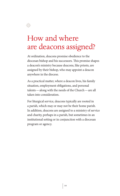

優凶

At ordination, deacons promise obedience to the diocesan bishop and his successors. This promise shapes a deacon's ministry because deacons, like priests, are assigned by their bishop, who may appoint a deacon anywhere in the diocese.

As a practical matter, where a deacon lives, his family situation, employment obligations, and personal talents—along with the needs of the Church—are all taken into consideration.

For liturgical service, deacons typically are rooted in a parish, which may or may not be their home parish. In addition, deacons are assigned to a ministry of service and charity, perhaps in a parish, but sometimes in an institutional setting or in conjunction with a diocesan program or agency.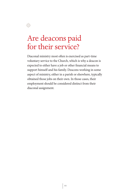

#### Are deacons paid for their service?

Diaconal ministry most often is exercised as part-time voluntary service to the Church, which is why a deacon is expected to either have a job or other financial means to support himself and his family. Deacons working in some aspect of ministry, either in a parish or elsewhere, typically obtained those jobs on their own. In those cases, their employment should be considered distinct from their diaconal assignment.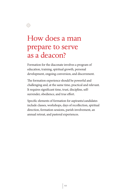

Formation for the diaconate involves a program of education, training, spiritual growth, personal development, ongoing conversion, and discernment.

The formation experience should be powerful and challenging and, at the same time, practical and relevant. It requires significant time, trust, discipline, selfsurrender, obedience, and true effort.

Specific elements of formation for aspirants/candidates include classes, workshops, days of recollection, spiritual direction, formation sessions, parish involvement, an annual retreat, and pastoral experiences.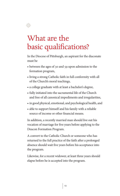

## What are the basic qualifications?

In the Diocese of Pittsburgh, an aspirant for the diaconate must be

- between the ages of 30 and 59 upon admission to the formation program,
- living a strong Catholic faith in full conformity with all of the Church's moral teachings,
- a college graduate with at least a bachelor's degree,
- fully initiated into the sacramental life of the Church and free of all canonical impediments and irregularities,
- in good physical, emotional, and psychological health, and
- able to support himself and his family with a reliable source of income or other financial means.

In addition, a recently married man should live out his vocation of marriage for five years before applying to the Deacon Formation Program.

A convert to the Catholic Church or someone who has returned to the full practice of the faith after a prolonged absence should wait five years before his acceptance into the program.

Likewise, for a recent widower, at least three years should elapse before he is accepted into the program.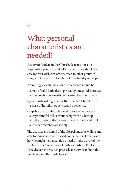

#### What personal characteristics are needed?

As servant leaders in the Church, deacons must be responsible, prudent, and self-directed. They should be able to work well with others, listen to other points of view, and interact comfortably with a diversity of people.

Accordingly, a candidate for the diaconate should be

- a man of solid faith, deep spirituality, and good character and reputation who exhibits a caring heart for others,
- generously willing to serve the diocesan Church with a spirit of humility, patience, and obedience,
- capable of assuming a leadership role when needed, always mindful of his relationship with his bishop and the priests of the diocese as well as the lay faithful and other members of society.

The deacon, as a herald of the Gospel, must be willing and able to minister broadly based on the needs of others and how he might help meet those needs. In the words of the United States Conference of Catholic Bishops (USCCB), "The deacon is ordained precisely for service in both the sanctuary and the marketplace."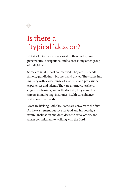

徽

Not at all. Deacons are as varied in their backgrounds, personalities, occupations, and talents as any other group of individuals.

Some are single; most are married. They are husbands, fathers, grandfathers, brothers, and uncles. They come into ministry with a wide range of academic and professional experiences and talents. They are attorneys, teachers, engineers, bankers, and orthodontists; they come from careers in marketing, insurance, health care, finance, and many other fields.

Most are lifelong Catholics; some are converts to the faith. All have a tremendous love for God and his people, a natural inclination and deep desire to serve others, and a firm commitment to walking with the Lord.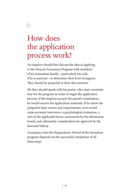## How does the application process work?

4월

An inquirer should first discuss the idea of applying to the Deacon Formation Program with members of his immediate family—particularly his wife, if he is married—to determine their level of support. They should be prayerful in their discernment.

He then should speak with his pastor, who must nominate him for the program in order to begin the application process. If the inquirer accepts his pastor's nomination, he would receive the application materials. If he meets the program's basic norms and requirements, next would come personal interviews, a psychological evaluation, a visit to the applicant's home, assessment by the admissions board, and, ultimately, consideration for approval by the diocesan bishop.

Acceptance into the Propaedeutic Period of the formation program depends on the successful completion of all these steps.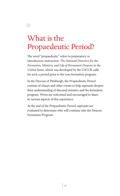

## What is the Propaedeutic Period?

The word "propaedeutic" refers to preparatory or introductory instruction. *The National Directory for the Formation, Ministry, and Life of Permanent Deacons in the United States*, which was developed by the USCCB, calls for such a period prior to the core formation program.

In the Diocese of Pittsburgh, the Propaedeutic Period consists of classes and other events to help aspirants deepen their understanding of diaconal ministry and the formation program. Wives are welcomed and encouraged to share in various aspects of this experience.

At the end of the Propaedeutic Period, aspirants are evaluated to determine who will continue into the Deacon Formation Program.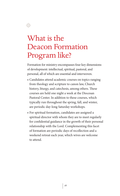

## What is the Deacon Formation Program like?

Formation for ministry encompasses four key dimensions of development: intellectual, spiritual, pastoral, and personal, all of which are essential and interwoven.

- Candidates attend academic courses on topics ranging from theology and scripture to canon law, Church history, liturgy, and catechesis, among others. These courses are held one night a week at the Diocesan Pastoral Center. In addition to these courses, which typically run throughout the spring, fall, and winter, are periodic day-long Saturday workshops.
- For spiritual formation, candidates are assigned a spiritual director with whom they are to meet regularly for confidential guidance in the growth of their personal relationship with the Lord. Complementing this facet of formation are periodic days of recollection and a weekend retreat each year, which wives are welcome to attend.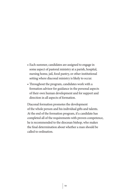- Each summer, candidates are assigned to engage in some aspect of pastoral ministry at a parish, hospital, nursing home, jail, food pantry, or other institutional setting where diaconal ministry is likely to occur.
- Throughout the program, candidates work with a formation advisor for guidance in the personal aspects of their own human development and for support and direction in all aspects of formation.

Diaconal formation promotes the development of the whole person and his individual gifts and talents. At the end of the formation program, if a candidate has completed all of the requirements with proven competence, he is recommended to the diocesan bishop, who makes the final determination about whether a man should be called to ordination.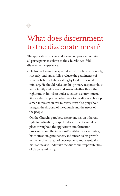

선<mark>정</mark>

The application process and formation program require all participants to submit to the Church's two-fold discernment experience.

- On his part, a man is expected to use this time to honestly, sincerely, and prayerfully evaluate the genuineness of what he believes to be a calling by God to diaconal ministry. He should reflect on his primary responsibilities to his family and career and assess whether this is the right time in his life to undertake such a commitment. Since a deacon pledges obedience to the diocesan bishop, a man interested in this ministry must also pray about being at the disposal of the Church and the needs of the people.
- On the Church's part, because no one has an inherent right to ordination, prayerful discernment also takes place throughout the application and formation processes about the individual's suitability for ministry; his motivation, genuineness, and sincerity; his growth in the pertinent areas of development; and, eventually, his readiness to undertake the duties and responsibilities of diaconal ministry.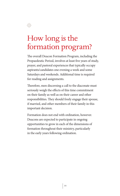

선물<br>전화

The overall Deacon Formation Program, including the Propaedeutic Period, involves at least five years of study, prayer, and pastoral experiences that typically occupy aspirants/candidates one evening a week and some Saturdays and weekends. Additional time is required for reading and assignments.

Therefore, men discerning a call to the diaconate must seriously weigh the effects of this time commitment on their family as well as on their career and other responsibilities. They should freely engage their spouse, if married, and other members of their family in this important decision.

Formation does not end with ordination, however. Deacons are expected to participate in ongoing opportunities to grow in each of the dimensions of formation throughout their ministry, particularly in the early years following ordination.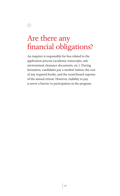

선물<br>전화

An inquirer is responsible for fees related to the application process (academic transcripts, safe environment clearance documents, etc.). During formation, candidates pay a modest tuition, the cost of any required books, and the room/board expense of the annual retreat. However, inability to pay is never a barrier to participation in the program.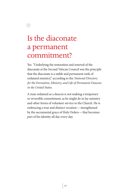

#### Is the diaconate a permanent commitment?

Yes. "Underlying the restoration and renewal of the diaconate at the Second Vatican Council was the principle that the diaconate is a stable and permanent rank of ordained ministry," according to the *National Directory for the Formation, Ministry, and Life of Permanent Deacons in the United States*.

A man ordained as a deacon is not making a temporary or reversible commitment, as he might do in lay ministry and other forms of volunteer service to the Church. He is embracing a true and distinct vocation—strengthened by the sacramental grace of Holy Orders—that becomes part of his identity all day every day.